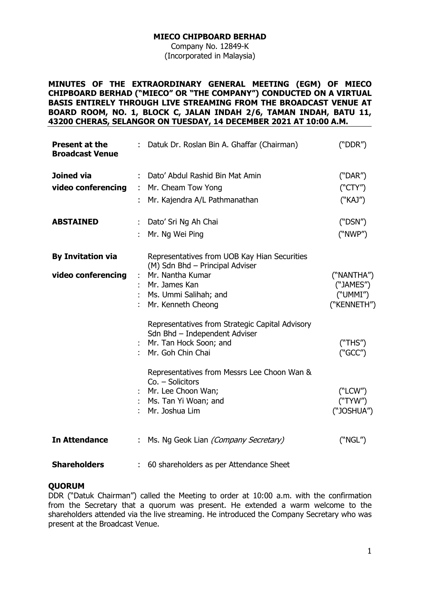### **MIECO CHIPBOARD BERHAD** Company No. 12849-K (Incorporated in Malaysia)

## **MINUTES OF THE EXTRAORDINARY GENERAL MEETING (EGM) OF MIECO CHIPBOARD BERHAD ("MIECO" OR "THE COMPANY") CONDUCTED ON A VIRTUAL BASIS ENTIRELY THROUGH LIVE STREAMING FROM THE BROADCAST VENUE AT BOARD ROOM, NO. 1, BLOCK C, JALAN INDAH 2/6, TAMAN INDAH, BATU 11, 43200 CHERAS, SELANGOR ON TUESDAY, 14 DECEMBER 2021 AT 10:00 A.M.**

| <b>Present at the</b><br><b>Broadcast Venue</b>              |                | : Datuk Dr. Roslan Bin A. Ghaffar (Chairman)                                                                                      | ("DDR")                              |
|--------------------------------------------------------------|----------------|-----------------------------------------------------------------------------------------------------------------------------------|--------------------------------------|
| Joined via<br><b>video conferencing : Mr. Cheam Tow Yong</b> |                | Dato' Abdul Rashid Bin Mat Amin<br>Mr. Kajendra A/L Pathmanathan                                                                  | ("DAR")<br>(''CTY'')<br>("KAJ")      |
| <b>ABSTAINED</b>                                             | $\ddot{\cdot}$ | Dato' Sri Ng Ah Chai<br>Mr. Ng Wei Ping                                                                                           | ("DSN")<br>("NWP")                   |
| <b>By Invitation via</b><br>video conferencing               | $\ddot{\cdot}$ | Representatives from UOB Kay Hian Securities<br>(M) Sdn Bhd - Principal Adviser<br>Mr. Nantha Kumar                               | ("NANTHA")                           |
|                                                              |                | Mr. James Kan<br>Ms. Ummi Salihah; and<br>Mr. Kenneth Cheong                                                                      | ("JAMES")<br>("UMMI")<br>("KENNETH") |
|                                                              |                | Representatives from Strategic Capital Advisory<br>Sdn Bhd - Independent Adviser<br>Mr. Tan Hock Soon; and<br>Mr. Goh Chin Chai   | ("THS")<br>("GCC")                   |
|                                                              |                | Representatives from Messrs Lee Choon Wan &<br>$Co. - Solicitors$<br>Mr. Lee Choon Wan;<br>Ms. Tan Yi Woan; and<br>Mr. Joshua Lim | ("LCW")<br>(''TYW'')<br>("JOSHUA")   |
| <b>In Attendance</b>                                         |                | Ms. Ng Geok Lian (Company Secretary)                                                                                              | ("NGL")                              |
| <b>Shareholders</b>                                          |                | 60 shareholders as per Attendance Sheet                                                                                           |                                      |

### **QUORUM**

DDR ("Datuk Chairman") called the Meeting to order at 10:00 a.m. with the confirmation from the Secretary that a quorum was present. He extended a warm welcome to the shareholders attended via the live streaming. He introduced the Company Secretary who was present at the Broadcast Venue.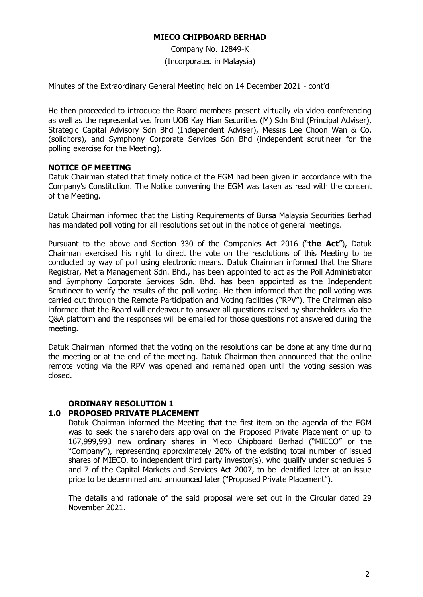### **MIECO CHIPBOARD BERHAD**

Company No. 12849-K (Incorporated in Malaysia)

Minutes of the Extraordinary General Meeting held on 14 December 2021 - cont'd

He then proceeded to introduce the Board members present virtually via video conferencing as well as the representatives from UOB Kay Hian Securities (M) Sdn Bhd (Principal Adviser), Strategic Capital Advisory Sdn Bhd (Independent Adviser), Messrs Lee Choon Wan & Co. (solicitors), and Symphony Corporate Services Sdn Bhd (independent scrutineer for the polling exercise for the Meeting).

### **NOTICE OF MEETING**

Datuk Chairman stated that timely notice of the EGM had been given in accordance with the Company's Constitution. The Notice convening the EGM was taken as read with the consent of the Meeting.

Datuk Chairman informed that the Listing Requirements of Bursa Malaysia Securities Berhad has mandated poll voting for all resolutions set out in the notice of general meetings.

Pursuant to the above and Section 330 of the Companies Act 2016 ("**the Act**"), Datuk Chairman exercised his right to direct the vote on the resolutions of this Meeting to be conducted by way of poll using electronic means. Datuk Chairman informed that the Share Registrar, Metra Management Sdn. Bhd., has been appointed to act as the Poll Administrator and Symphony Corporate Services Sdn. Bhd. has been appointed as the Independent Scrutineer to verify the results of the poll voting. He then informed that the poll voting was carried out through the Remote Participation and Voting facilities ("RPV"). The Chairman also informed that the Board will endeavour to answer all questions raised by shareholders via the Q&A platform and the responses will be emailed for those questions not answered during the meeting.

Datuk Chairman informed that the voting on the resolutions can be done at any time during the meeting or at the end of the meeting. Datuk Chairman then announced that the online remote voting via the RPV was opened and remained open until the voting session was closed.

### **ORDINARY RESOLUTION 1**

### **1.0 PROPOSED PRIVATE PLACEMENT**

Datuk Chairman informed the Meeting that the first item on the agenda of the EGM was to seek the shareholders approval on the Proposed Private Placement of up to 167,999,993 new ordinary shares in Mieco Chipboard Berhad ("MIECO" or the "Company"), representing approximately 20% of the existing total number of issued shares of MIECO, to independent third party investor(s), who qualify under schedules 6 and 7 of the Capital Markets and Services Act 2007, to be identified later at an issue price to be determined and announced later ("Proposed Private Placement").

The details and rationale of the said proposal were set out in the Circular dated 29 November 2021.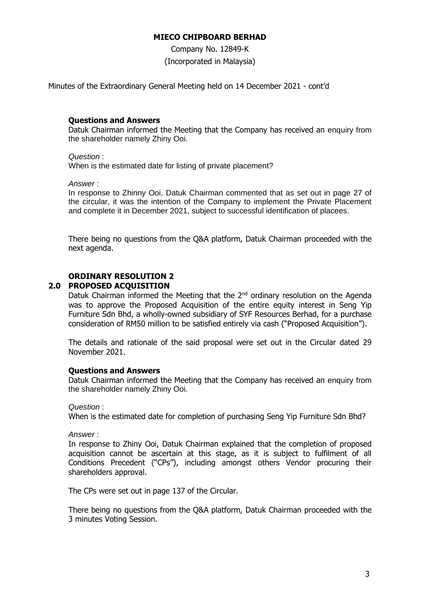### **MIECO CHIPBOARD BERHAD**

Company No. 12849-K (Incorporated in Malaysia)

Minutes of the Extraordinary General Meeting held on 14 December 2021 - cont'd

## **Questions and Answers**

Datuk Chairman informed the Meeting that the Company has received an enquiry from the shareholder namely Zhiny Ooi.

*Question* :

When is the estimated date for listing of private placement?

*Answer* :

In response to Zhinny Ooi, Datuk Chairman commented that as set out in page 27 of the circular, it was the intention of the Company to implement the Private Placement and complete it in December 2021, subject to successful identification of placees.

There being no questions from the Q&A platform, Datuk Chairman proceeded with the next agenda.

#### **ORDINARY RESOLUTION 2 2.0 PROPOSED ACQUISITION**

Datuk Chairman informed the Meeting that the 2<sup>nd</sup> ordinary resolution on the Agenda was to approve the Proposed Acquisition of the entire equity interest in Seng Yip Furniture Sdn Bhd, a wholly-owned subsidiary of SYF Resources Berhad, for a purchase consideration of RM50 million to be satisfied entirely via cash ("Proposed Acquisition").

The details and rationale of the said proposal were set out in the Circular dated 29 November 2021.

### **Questions and Answers**

Datuk Chairman informed the Meeting that the Company has received an enquiry from the shareholder namely Zhiny Ooi.

*Question* :

When is the estimated date for completion of purchasing Seng Yip Furniture Sdn Bhd?

*Answer* :

In response to Zhiny Ooi, Datuk Chairman explained that the completion of proposed acquisition cannot be ascertain at this stage, as it is subject to fulfilment of all Conditions Precedent ("CPs"), including amongst others Vendor procuring their shareholders approval.

The CPs were set out in page 137 of the Circular.

There being no questions from the Q&A platform, Datuk Chairman proceeded with the 3 minutes Voting Session.